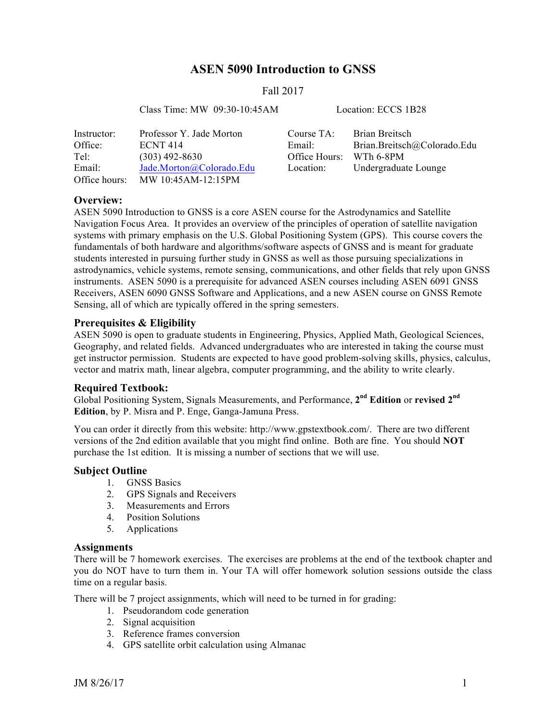# **ASEN 5090 Introduction to GNSS**

### Fall 2017

Class Time: MW 09:30-10:45AM Location: ECCS 1B28

| Instructor:   | Professor Y. Jade Morton | Course TA:    | Brian Breitsch              |
|---------------|--------------------------|---------------|-----------------------------|
| Office:       | <b>ECNT 414</b>          | Email:        | Brian.Breitsch@Colorado.Edu |
| Tel:          | $(303)$ 492-8630         | Office Hours: | WTh 6-8PM                   |
| Email:        | Jade.Morton@Colorado.Edu | Location:     | Undergraduate Lounge        |
| Office hours: | MW 10:45AM-12:15PM       |               |                             |

### **Overview:**

ASEN 5090 Introduction to GNSS is a core ASEN course for the Astrodynamics and Satellite Navigation Focus Area. It provides an overview of the principles of operation of satellite navigation systems with primary emphasis on the U.S. Global Positioning System (GPS). This course covers the fundamentals of both hardware and algorithms/software aspects of GNSS and is meant for graduate students interested in pursuing further study in GNSS as well as those pursuing specializations in astrodynamics, vehicle systems, remote sensing, communications, and other fields that rely upon GNSS instruments. ASEN 5090 is a prerequisite for advanced ASEN courses including ASEN 6091 GNSS Receivers, ASEN 6090 GNSS Software and Applications, and a new ASEN course on GNSS Remote Sensing, all of which are typically offered in the spring semesters.

### **Prerequisites & Eligibility**

ASEN 5090 is open to graduate students in Engineering, Physics, Applied Math, Geological Sciences, Geography, and related fields. Advanced undergraduates who are interested in taking the course must get instructor permission. Students are expected to have good problem-solving skills, physics, calculus, vector and matrix math, linear algebra, computer programming, and the ability to write clearly.

#### **Required Textbook:**

Global Positioning System, Signals Measurements, and Performance, **2nd Edition** or **revised 2nd Edition**, by P. Misra and P. Enge, Ganga-Jamuna Press.

You can order it directly from this website: http://www.gpstextbook.com/. There are two different versions of the 2nd edition available that you might find online. Both are fine. You should **NOT** purchase the 1st edition. It is missing a number of sections that we will use.

#### **Subject Outline**

- 1. GNSS Basics
- 2. GPS Signals and Receivers
- 3. Measurements and Errors
- 4. Position Solutions
- 5. Applications

#### **Assignments**

There will be 7 homework exercises. The exercises are problems at the end of the textbook chapter and you do NOT have to turn them in. Your TA will offer homework solution sessions outside the class time on a regular basis.

There will be 7 project assignments, which will need to be turned in for grading:

- 1. Pseudorandom code generation
- 2. Signal acquisition
- 3. Reference frames conversion
- 4. GPS satellite orbit calculation using Almanac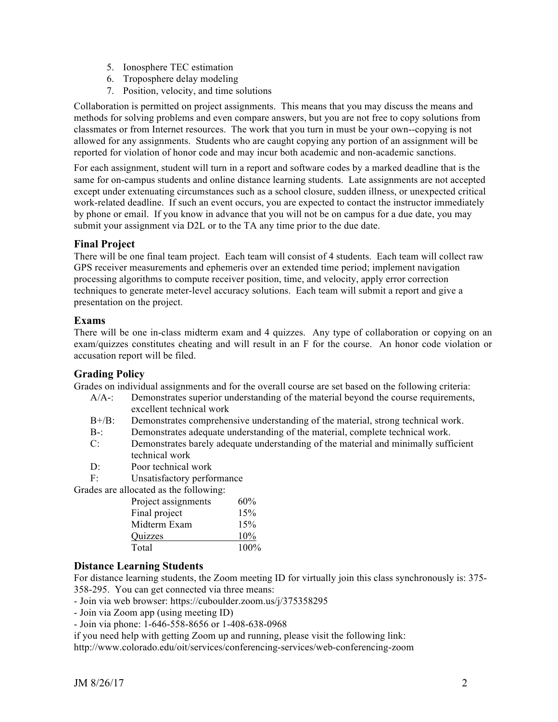- 5. Ionosphere TEC estimation
- 6. Troposphere delay modeling
- 7. Position, velocity, and time solutions

Collaboration is permitted on project assignments. This means that you may discuss the means and methods for solving problems and even compare answers, but you are not free to copy solutions from classmates or from Internet resources. The work that you turn in must be your own--copying is not allowed for any assignments. Students who are caught copying any portion of an assignment will be reported for violation of honor code and may incur both academic and non-academic sanctions.

For each assignment, student will turn in a report and software codes by a marked deadline that is the same for on-campus students and online distance learning students. Late assignments are not accepted except under extenuating circumstances such as a school closure, sudden illness, or unexpected critical work-related deadline. If such an event occurs, you are expected to contact the instructor immediately by phone or email. If you know in advance that you will not be on campus for a due date, you may submit your assignment via D2L or to the TA any time prior to the due date.

# **Final Project**

There will be one final team project. Each team will consist of 4 students. Each team will collect raw GPS receiver measurements and ephemeris over an extended time period; implement navigation processing algorithms to compute receiver position, time, and velocity, apply error correction techniques to generate meter-level accuracy solutions. Each team will submit a report and give a presentation on the project.

## **Exams**

There will be one in-class midterm exam and 4 quizzes. Any type of collaboration or copying on an exam/quizzes constitutes cheating and will result in an F for the course. An honor code violation or accusation report will be filed.

# **Grading Policy**

Grades on individual assignments and for the overall course are set based on the following criteria:

- A/A-: Demonstrates superior understanding of the material beyond the course requirements, excellent technical work
- B+/B: Demonstrates comprehensive understanding of the material, strong technical work.
- B-: Demonstrates adequate understanding of the material, complete technical work.
- C: Demonstrates barely adequate understanding of the material and minimally sufficient technical work
- D: Poor technical work
- F: Unsatisfactory performance

Grades are allocated as the following:

| Project assignments | 60%  |
|---------------------|------|
| Final project       | 15%  |
| Midterm Exam        | 15%  |
| Quizzes             | 10%  |
| Total               | 100% |

# **Distance Learning Students**

For distance learning students, the Zoom meeting ID for virtually join this class synchronously is: 375- 358-295. You can get connected via three means:

- Join via web browser: https://cuboulder.zoom.us/j/375358295

- Join via Zoom app (using meeting ID)

- Join via phone: 1-646-558-8656 or 1-408-638-0968

if you need help with getting Zoom up and running, please visit the following link:

http://www.colorado.edu/oit/services/conferencing-services/web-conferencing-zoom